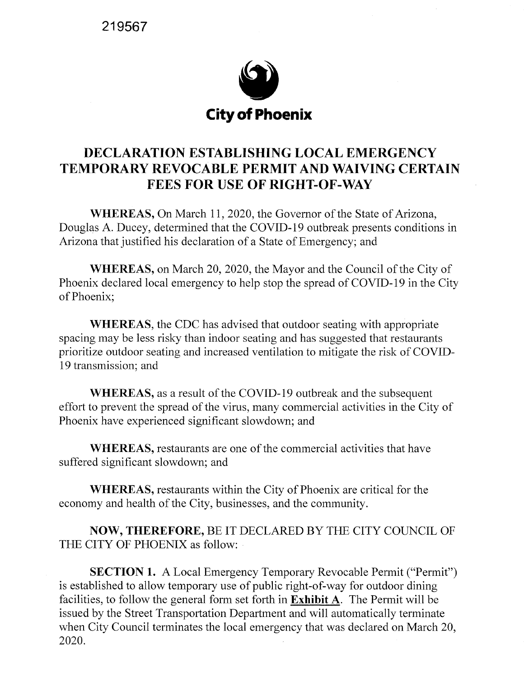**219567** 



## **DECLARATION ESTABLISHING LOCAL EMERGENCY TEMPORARY REVOCABLE PERMIT AND WAIVING CERTAIN FEES FOR USE OF RIGHT-OF-WAY**

**WHEREAS, On March 11, 2020, the Governor of the State of Arizona,** Douglas A. Ducey, determined that the COVID-19 outbreak presents conditions in Arizona that justified his declaration of a State of Emergency; and

**WHEREAS, on March 20, 2020, the Mayor and the Council of the City of** Phoenix declared local emergency to help stop the spread of COVID-19 in the City of Phoenix;

**WHEREAS,** the CDC has advised that outdoor seating with appropriate spacing may be less risky than indoor seating and has suggested that restaurants prioritize outdoor seating and increased ventilation to mitigate the risk of COVID-19 transmission; and

**WHEREAS,** as a result of the COVID-19 outbreak and the subsequent effort to prevent the spread of the virus, many commercial activities in the City of Phoenix have experienced significant slowdown; and

**WHEREAS,** restaurants are one of the commercial activities that have suffered significant slowdown; and

**WHEREAS,** restaurants within the City of Phoenix are critical for the economy and health of the City, businesses, and the community.

**NOW, THEREFORE,** BE IT DECLARED BY THE CITY COUNCIL OF THE CITY OF PHOENIX as follow:

**SECTION 1.** A Local Emergency Temporary Revocable Permit ("Permit") is established to allow temporary use of public right-of-way for outdoor dining facilities, to follow the general form set forth in **Exhibit** A. The Permit will be issued by the Street Transportation Department and will automatically terminate when City Council terminates the local emergency that was declared on March 20, 2020.